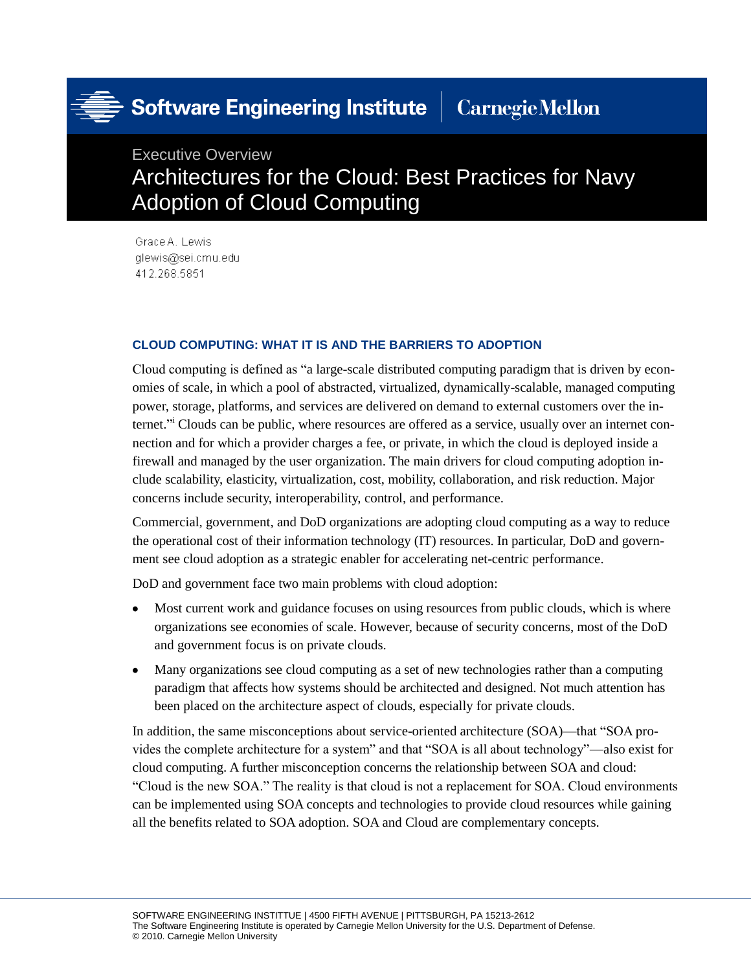# Software Engineering Institute

## **Carnegie Mellon**

### Executive Overview Architectures for the Cloud: Best Practices for Navy Adoption of Cloud Computing

Grace A. Lewis glewis@sei.cmu.edu 412.268.5851

#### **CLOUD COMPUTING: WHAT IT IS AND THE BARRIERS TO ADOPTION**

Cloud computing is defined as "a large-scale distributed computing paradigm that is driven by economies of scale, in which a pool of abstracted, virtualized, dynamically-scalable, managed computing power, storage, platforms, and services are delivered on demand to external customers over the internet." Clouds can be public, where resources are offered as a service, usually over an internet connection and for which a provider charges a fee, or private, in which the cloud is deployed inside a firewall and managed by the user organization. The main drivers for cloud computing adoption include scalability, elasticity, virtualization, cost, mobility, collaboration, and risk reduction. Major concerns include security, interoperability, control, and performance.

Commercial, government, and DoD organizations are adopting cloud computing as a way to reduce the operational cost of their information technology (IT) resources. In particular, DoD and government see cloud adoption as a strategic enabler for accelerating net-centric performance.

DoD and government face two main problems with cloud adoption:

- Most current work and guidance focuses on using resources from public clouds, which is where  $\bullet$ organizations see economies of scale. However, because of security concerns, most of the DoD and government focus is on private clouds.
- Many organizations see cloud computing as a set of new technologies rather than a computing  $\bullet$ paradigm that affects how systems should be architected and designed. Not much attention has been placed on the architecture aspect of clouds, especially for private clouds.

In addition, the same misconceptions about service-oriented architecture (SOA)—that "SOA provides the complete architecture for a system" and that "SOA is all about technology"—also exist for cloud computing. A further misconception concerns the relationship between SOA and cloud: "Cloud is the new SOA." The reality is that cloud is not a replacement for SOA. Cloud environments can be implemented using SOA concepts and technologies to provide cloud resources while gaining all the benefits related to SOA adoption. SOA and Cloud are complementary concepts.